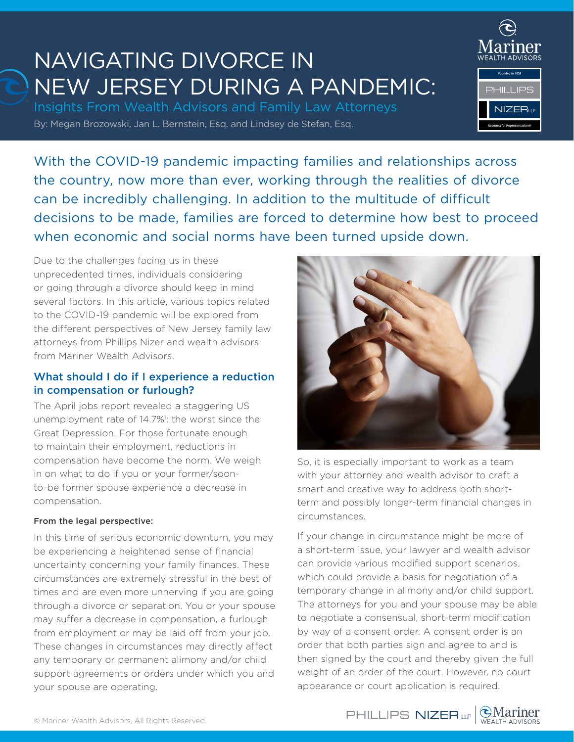# NAVIGATING DIVORCE IN NEW JERSEY DURING A PANDEMIC:

By: Megan Brozowski, Jan L. Bernstein, Esq. and Lindsey de Stefan, Esq. Insights From Wealth Advisors and Family Law Attorneys



With the COVID-19 pandemic impacting families and relationships across the country, now more than ever, working through the realities of divorce can be incredibly challenging. In addition to the multitude of difficult decisions to be made, families are forced to determine how best to proceed when economic and social norms have been turned upside down.

Due to the challenges facing us in these unprecedented times, individuals considering or going through a divorce should keep in mind several factors. In this article, various topics related to the COVID-19 pandemic will be explored from the different perspectives of New Jersey family law attorneys from Phillips Nizer and wealth advisors from Mariner Wealth Advisors.

## What should I do if I experience a reduction in compensation or furlough?

The April jobs report revealed a staggering US unemployment rate of 14.7%<sup>1</sup>: the worst since the Great Depression. For those fortunate enough to maintain their employment, reductions in compensation have become the norm. We weigh in on what to do if you or your former/soonto-be former spouse experience a decrease in compensation.

#### From the legal perspective:

In this time of serious economic downturn, you may be experiencing a heightened sense of financial uncertainty concerning your family finances. These circumstances are extremely stressful in the best of times and are even more unnerving if you are going through a divorce or separation. You or your spouse may suffer a decrease in compensation, a furlough from employment or may be laid off from your job. These changes in circumstances may directly affect any temporary or permanent alimony and/or child support agreements or orders under which you and your spouse are operating.



So, it is especially important to work as a team with your attorney and wealth advisor to craft a smart and creative way to address both shortterm and possibly longer-term financial changes in circumstances.

If your change in circumstance might be more of a short-term issue, your lawyer and wealth advisor can provide various modified support scenarios, which could provide a basis for negotiation of a temporary change in alimony and/or child support. The attorneys for you and your spouse may be able to negotiate a consensual, short-term modification by way of a consent order. A consent order is an order that both parties sign and agree to and is then signed by the court and thereby given the full weight of an order of the court. However, no court appearance or court application is required.

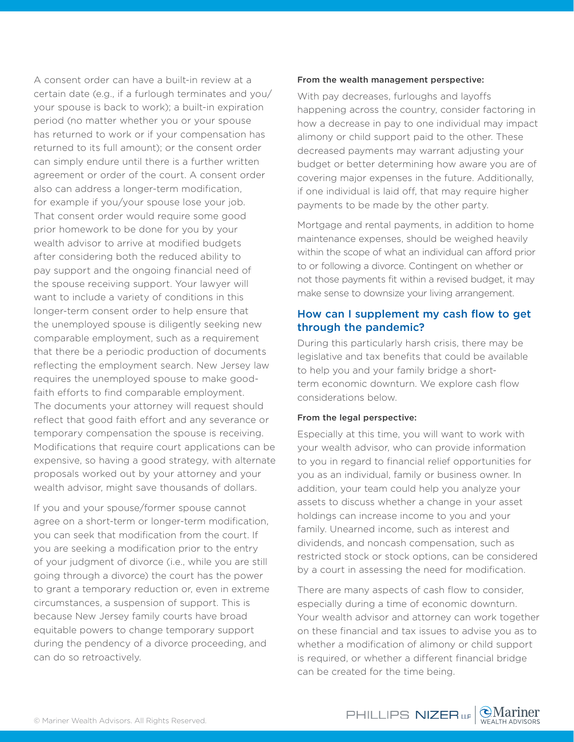A consent order can have a built-in review at a certain date (e.g., if a furlough terminates and you/ your spouse is back to work); a built-in expiration period (no matter whether you or your spouse has returned to work or if your compensation has returned to its full amount); or the consent order can simply endure until there is a further written agreement or order of the court. A consent order also can address a longer-term modification, for example if you/your spouse lose your job. That consent order would require some good prior homework to be done for you by your wealth advisor to arrive at modified budgets after considering both the reduced ability to pay support and the ongoing financial need of the spouse receiving support. Your lawyer will want to include a variety of conditions in this longer-term consent order to help ensure that the unemployed spouse is diligently seeking new comparable employment, such as a requirement that there be a periodic production of documents reflecting the employment search. New Jersey law requires the unemployed spouse to make goodfaith efforts to find comparable employment. The documents your attorney will request should reflect that good faith effort and any severance or temporary compensation the spouse is receiving. Modifications that require court applications can be expensive, so having a good strategy, with alternate proposals worked out by your attorney and your wealth advisor, might save thousands of dollars.

If you and your spouse/former spouse cannot agree on a short-term or longer-term modification, you can seek that modification from the court. If you are seeking a modification prior to the entry of your judgment of divorce (i.e., while you are still going through a divorce) the court has the power to grant a temporary reduction or, even in extreme circumstances, a suspension of support. This is because New Jersey family courts have broad equitable powers to change temporary support during the pendency of a divorce proceeding, and can do so retroactively.

#### From the wealth management perspective:

With pay decreases, furloughs and layoffs happening across the country, consider factoring in how a decrease in pay to one individual may impact alimony or child support paid to the other. These decreased payments may warrant adjusting your budget or better determining how aware you are of covering major expenses in the future. Additionally, if one individual is laid off, that may require higher payments to be made by the other party.

Mortgage and rental payments, in addition to home maintenance expenses, should be weighed heavily within the scope of what an individual can afford prior to or following a divorce. Contingent on whether or not those payments fit within a revised budget, it may make sense to downsize your living arrangement.

## How can I supplement my cash flow to get through the pandemic?

During this particularly harsh crisis, there may be legislative and tax benefits that could be available to help you and your family bridge a shortterm economic downturn. We explore cash flow considerations below.

#### From the legal perspective:

Especially at this time, you will want to work with your wealth advisor, who can provide information to you in regard to financial relief opportunities for you as an individual, family or business owner. In addition, your team could help you analyze your assets to discuss whether a change in your asset holdings can increase income to you and your family. Unearned income, such as interest and dividends, and noncash compensation, such as restricted stock or stock options, can be considered by a court in assessing the need for modification.

There are many aspects of cash flow to consider, especially during a time of economic downturn. Your wealth advisor and attorney can work together on these financial and tax issues to advise you as to whether a modification of alimony or child support is required, or whether a different financial bridge can be created for the time being.

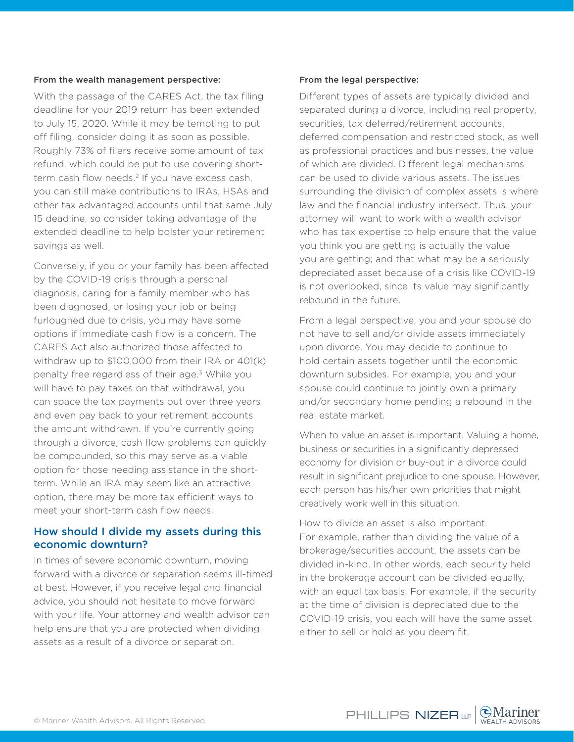#### From the wealth management perspective:

With the passage of the CARES Act, the tax filing deadline for your 2019 return has been extended to July 15, 2020. While it may be tempting to put off filing, consider doing it as soon as possible. Roughly 73% of filers receive some amount of tax refund, which could be put to use covering shortterm cash flow needs.<sup>2</sup> If you have excess cash, you can still make contributions to IRAs, HSAs and other tax advantaged accounts until that same July 15 deadline, so consider taking advantage of the extended deadline to help bolster your retirement savings as well.

Conversely, if you or your family has been affected by the COVID-19 crisis through a personal diagnosis, caring for a family member who has been diagnosed, or losing your job or being furloughed due to crisis, you may have some options if immediate cash flow is a concern. The CARES Act also authorized those affected to withdraw up to \$100,000 from their IRA or 401(k) penalty free regardless of their age.3 While you will have to pay taxes on that withdrawal, you can space the tax payments out over three years and even pay back to your retirement accounts the amount withdrawn. If you're currently going through a divorce, cash flow problems can quickly be compounded, so this may serve as a viable option for those needing assistance in the shortterm. While an IRA may seem like an attractive option, there may be more tax efficient ways to meet your short-term cash flow needs.

### How should I divide my assets during this economic downturn?

In times of severe economic downturn, moving forward with a divorce or separation seems ill-timed at best. However, if you receive legal and financial advice, you should not hesitate to move forward with your life. Your attorney and wealth advisor can help ensure that you are protected when dividing assets as a result of a divorce or separation.

#### From the legal perspective:

Different types of assets are typically divided and separated during a divorce, including real property, securities, tax deferred/retirement accounts, deferred compensation and restricted stock, as well as professional practices and businesses, the value of which are divided. Different legal mechanisms can be used to divide various assets. The issues surrounding the division of complex assets is where law and the financial industry intersect. Thus, your attorney will want to work with a wealth advisor who has tax expertise to help ensure that the value you think you are getting is actually the value you are getting; and that what may be a seriously depreciated asset because of a crisis like COVID-19 is not overlooked, since its value may significantly rebound in the future.

From a legal perspective, you and your spouse do not have to sell and/or divide assets immediately upon divorce. You may decide to continue to hold certain assets together until the economic downturn subsides. For example, you and your spouse could continue to jointly own a primary and/or secondary home pending a rebound in the real estate market.

When to value an asset is important. Valuing a home, business or securities in a significantly depressed economy for division or buy-out in a divorce could result in significant prejudice to one spouse. However, each person has his/her own priorities that might creatively work well in this situation.

How to divide an asset is also important. For example, rather than dividing the value of a brokerage/securities account, the assets can be divided in-kind. In other words, each security held in the brokerage account can be divided equally, with an equal tax basis. For example, if the security at the time of division is depreciated due to the COVID-19 crisis, you each will have the same asset either to sell or hold as you deem fit.